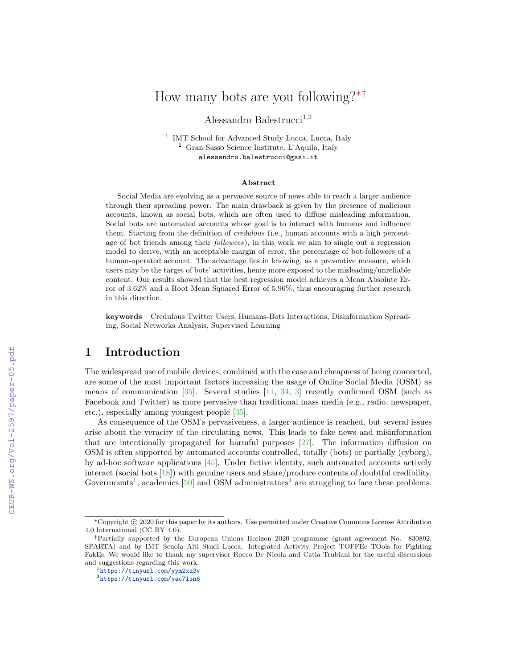# How many bots are you following?∗†

Alessandro Balestrucci<sup>1,2</sup>

<sup>1</sup> IMT School for Advanced Study Lucca, Lucca, Italy <sup>2</sup> Gran Sasso Science Institute, L'Aquila, Italy alessandro.balestrucci@gssi.it

#### Abstract

Social Media are evolving as a pervasive source of news able to reach a larger audience through their spreading power. The main drawback is given by the presence of malicious accounts, known as social bots, which are often used to diffuse misleading information. Social bots are automated accounts whose goal is to interact with humans and influence them. Starting from the definition of credulous (i.e., human accounts with a high percentage of bot friends among their followees), in this work we aim to single out a regression model to derive, with an acceptable margin of error, the percentage of bot-followees of a human-operated account. The advantage lies in knowing, as a preventive measure, which users may be the target of bots' activities, hence more exposed to the misleading/unreliable content. Our results showed that the best regression model achieves a Mean Absolute Error of 3.62% and a Root Mean Squared Error of 5.96%, thus encouraging further research in this direction.

keywords – Credulous Twitter Users, Humans-Bots Interactions, Disinformation Spreading, Social Networks Analysis, Supervised Learning

# 1 Introduction

The widespread use of mobile devices, combined with the ease and cheapness of being connected, are some of the most important factors increasing the usage of Online Social Media (OSM) as means of communication  $[35]$ . Several studies  $[11, 34, 3]$  $[11, 34, 3]$  $[11, 34, 3]$  $[11, 34, 3]$  $[11, 34, 3]$  recently confirmed OSM (such as Facebook and Twitter) as more pervasive than traditional mass media (e.g., radio, newspaper, etc.), especially among youngest people [\[35\]](#page--1-0).

As consequence of the OSM's pervasiveness, a larger audience is reached, but several issues arise about the veracity of the circulating news. This leads to fake news and misinformation that are intentionally propagated for harmful purposes [\[27\]](#page--1-4). The information diffusion on OSM is often supported by automated accounts controlled, totally (bots) or partially (cyborg), by ad-hoc software applications [\[45\]](#page--1-5). Under fictive identity, such automated accounts actively interact (social bots [\[18\]](#page--1-6)) with genuine users and share/produce contents of doubtful credibility. Governments<sup>[1](#page-0-0)</sup>, academics [\[50\]](#page--1-7) and OSM administrators<sup>[2](#page-0-1)</sup> are struggling to face these problems.

<sup>∗</sup>Copyright c 2020 for this paper by its authors. Use permitted under Creative Commons License Attribution 4.0 International (CC BY 4.0).

<sup>†</sup>Partially supported by the European Unions Horizon 2020 programme (grant agreement No. 830892, SPARTA) and by IMT Scuola Alti Studi Lucca: Integrated Activity Project TOFFEe TOols for Fighting FakEs. We would like to thank my supervisor Rocco De Nicola and Catia Trubiani for the useful discussions and suggestions regarding this work.

<span id="page-0-0"></span><sup>1</sup><https://tinyurl.com/yym2xa3v>

<span id="page-0-1"></span><sup>2</sup><https://tinyurl.com/yac7lsn6>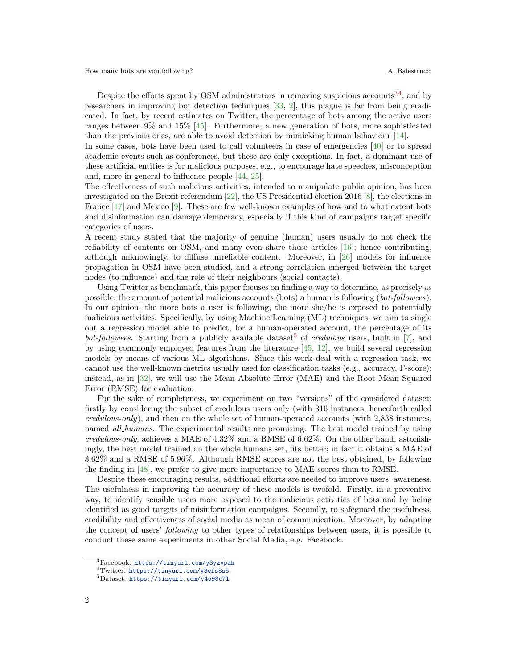Despite the efforts spent by OSM administrators in removing suspicious accounts<sup>[3](#page-1-0)[4](#page-1-1)</sup>, and by researchers in improving bot detection techniques [\[33,](#page-11-0) [2\]](#page-10-0), this plague is far from being eradicated. In fact, by recent estimates on Twitter, the percentage of bots among the active users ranges between 9% and 15% [\[45\]](#page-12-0). Furthermore, a new generation of bots, more sophisticated than the previous ones, are able to avoid detection by mimicking human behaviour [\[14\]](#page-10-1).

In some cases, bots have been used to call volunteers in case of emergencies [\[40\]](#page-11-1) or to spread academic events such as conferences, but these are only exceptions. In fact, a dominant use of these artificial entities is for malicious purposes, e.g., to encourage hate speeches, misconception and, more in general to influence people [\[44,](#page-12-1) [25\]](#page-11-2).

The effectiveness of such malicious activities, intended to manipulate public opinion, has been investigated on the Brexit referendum [\[22\]](#page-11-3), the US Presidential election 2016 [\[8\]](#page-10-2), the elections in France [\[17\]](#page-10-3) and Mexico [\[9\]](#page-10-4). These are few well-known examples of how and to what extent bots and disinformation can damage democracy, especially if this kind of campaigns target specific categories of users.

A recent study stated that the majority of genuine (human) users usually do not check the reliability of contents on OSM, and many even share these articles [\[16\]](#page-10-5); hence contributing, although unknowingly, to diffuse unreliable content. Moreover, in [\[26\]](#page-11-4) models for influence propagation in OSM have been studied, and a strong correlation emerged between the target nodes (to influence) and the role of their neighbours (social contacts).

Using Twitter as benchmark, this paper focuses on finding a way to determine, as precisely as possible, the amount of potential malicious accounts (bots) a human is following (bot-followees). In our opinion, the more bots a user is following, the more she/he is exposed to potentially malicious activities. Specifically, by using Machine Learning (ML) techniques, we aim to single out a regression model able to predict, for a human-operated account, the percentage of its *bot-followees.* Starting from a publicly available dataset<sup>[5](#page-1-2)</sup> of *credulous* users, built in [\[7\]](#page-10-6), and by using commonly employed features from the literature [\[45,](#page-12-0) [12\]](#page-10-7), we build several regression models by means of various ML algorithms. Since this work deal with a regression task, we cannot use the well-known metrics usually used for classification tasks (e.g., accuracy, F-score); instead, as in [\[32\]](#page-11-5), we will use the Mean Absolute Error (MAE) and the Root Mean Squared Error (RMSE) for evaluation.

For the sake of completeness, we experiment on two "versions" of the considered dataset: firstly by considering the subset of credulous users only (with 316 instances, henceforth called credulous-only), and then on the whole set of human-operated accounts (with 2,838 instances, named *all humans*. The experimental results are promising. The best model trained by using credulous-only, achieves a MAE of  $4.32\%$  and a RMSE of  $6.62\%$ . On the other hand, astonishingly, the best model trained on the whole humans set, fits better; in fact it obtains a MAE of 3.62% and a RMSE of 5.96%. Although RMSE scores are not the best obtained, by following the finding in [\[48\]](#page-12-2), we prefer to give more importance to MAE scores than to RMSE.

Despite these encouraging results, additional efforts are needed to improve users' awareness. The usefulness in improving the accuracy of these models is twofold. Firstly, in a preventive way, to identify sensible users more exposed to the malicious activities of bots and by being identified as good targets of misinformation campaigns. Secondly, to safeguard the usefulness, credibility and effectiveness of social media as mean of communication. Moreover, by adapting the concept of users' following to other types of relationships between users, it is possible to conduct these same experiments in other Social Media, e.g. Facebook.

<span id="page-1-0"></span><sup>3</sup>Facebook: <https://tinyurl.com/y3yzvpah>

<span id="page-1-1"></span><sup>4</sup>Twitter: <https://tinyurl.com/y3efs8s5>

<span id="page-1-2"></span><sup>5</sup>Dataset: <https://tinyurl.com/y4o98c7l>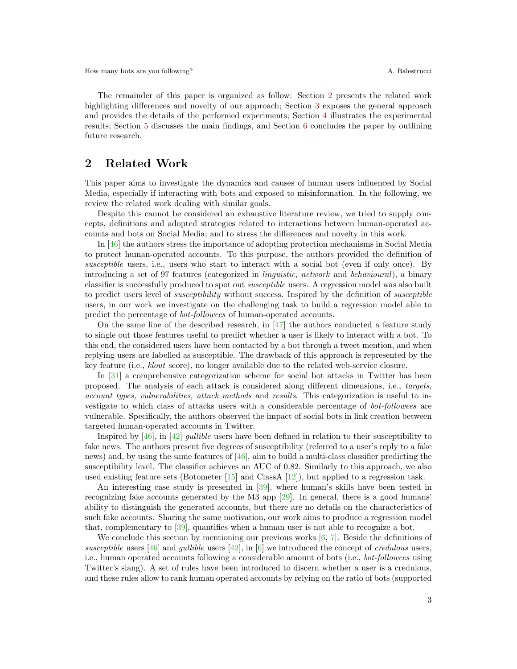The remainder of this paper is organized as follow: Section [2](#page-2-0) presents the related work highlighting differences and novelty of our approach; Section [3](#page-3-0) exposes the general approach and provides the details of the performed experiments; Section [4](#page-5-0) illustrates the experimental results; Section [5](#page-8-0) discusses the main findings, and Section [6](#page-9-0) concludes the paper by outlining future research.

# <span id="page-2-0"></span>2 Related Work

This paper aims to investigate the dynamics and causes of human users influenced by Social Media, especially if interacting with bots and exposed to misinformation. In the following, we review the related work dealing with similar goals.

Despite this cannot be considered an exhaustive literature review, we tried to supply concepts, definitions and adopted strategies related to interactions between human-operated accounts and bots on Social Media; and to stress the differences and novelty in this work.

In [\[46\]](#page-12-3) the authors stress the importance of adopting protection mechanisms in Social Media to protect human-operated accounts. To this purpose, the authors provided the definition of susceptible users, i.e., users who start to interact with a social bot (even if only once). By introducing a set of 97 features (categorized in linguistic, network and behavioural), a binary classifier is successfully produced to spot out susceptible users. A regression model was also built to predict users level of susceptibility without success. Inspired by the definition of susceptible users, in our work we investigate on the challenging task to build a regression model able to predict the percentage of bot-followees of human-operated accounts.

On the same line of the described research, in [\[47\]](#page-12-4) the authors conducted a feature study to single out those features useful to predict whether a user is likely to interact with a bot. To this end, the considered users have been contacted by a bot through a tweet mention, and when replying users are labelled as susceptible. The drawback of this approach is represented by the key feature (i.e., klout score), no longer available due to the related web-service closure.

In [\[31\]](#page-11-6) a comprehensive categorization scheme for social bot attacks in Twitter has been proposed. The analysis of each attack is considered along different dimensions, i.e., targets, account types, vulnerabilities, attack methods and results. This categorization is useful to investigate to which class of attacks users with a considerable percentage of bot-followees are vulnerable. Specifically, the authors observed the impact of social bots in link creation between targeted human-operated accounts in Twitter.

Inspired by [\[46\]](#page-12-3), in [\[42\]](#page-11-7) gullible users have been defined in relation to their susceptibility to fake news. The authors present five degrees of susceptibility (referred to a user's reply to a fake news) and, by using the same features of  $[46]$ , aim to build a multi-class classifier predicting the susceptibility level. The classifier achieves an AUC of 0.82. Similarly to this approach, we also used existing feature sets (Botometer [\[15\]](#page-10-8) and ClassA [\[12\]](#page-10-7)), but applied to a regression task.

An interesting case study is presented in [\[39\]](#page-11-8), where human's skills have been tested in recognizing fake accounts generated by the M3 app [\[29\]](#page-11-9). In general, there is a good humans' ability to distinguish the generated accounts, but there are no details on the characteristics of such fake accounts. Sharing the same motivation, our work aims to produce a regression model that, complementary to [\[39\]](#page-11-8), quantifies when a human user is not able to recognize a bot.

We conclude this section by mentioning our previous works  $[6, 7]$  $[6, 7]$  $[6, 7]$ . Beside the definitions of susceptible users [\[46\]](#page-12-3) and gullible users [\[42\]](#page-11-7), in [\[6\]](#page-10-9) we introduced the concept of credulous users, i.e., human operated accounts following a considerable amount of bots (i.e., bot-followees using Twitter's slang). A set of rules have been introduced to discern whether a user is a credulous, and these rules allow to rank human operated accounts by relying on the ratio of bots (supported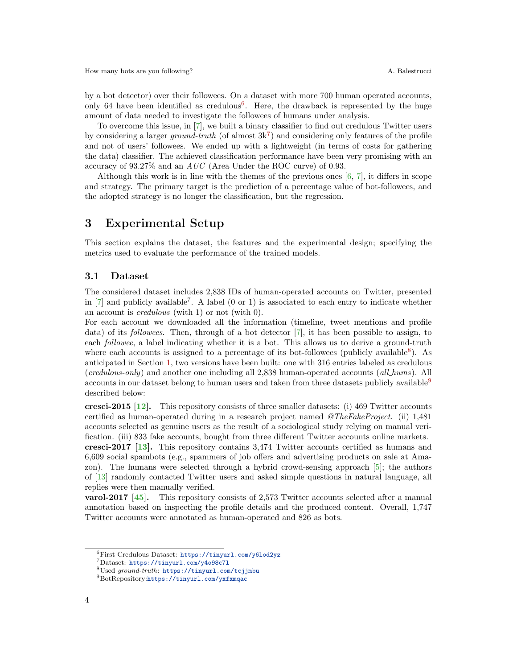by a bot detector) over their followees. On a dataset with more 700 human operated accounts, only [6](#page-3-1)4 have been identified as credulous<sup>6</sup>. Here, the drawback is represented by the huge amount of data needed to investigate the followees of humans under analysis.

To overcome this issue, in [\[7\]](#page-10-6), we built a binary classifier to find out credulous Twitter users by considering a larger ground-truth (of almost  $3k^7$  $3k^7$ ) and considering only features of the profile and not of users' followees. We ended up with a lightweight (in terms of costs for gathering the data) classifier. The achieved classification performance have been very promising with an accuracy of 93.27% and an AUC (Area Under the ROC curve) of 0.93.

Although this work is in line with the themes of the previous ones  $[6, 7]$  $[6, 7]$  $[6, 7]$ , it differs in scope and strategy. The primary target is the prediction of a percentage value of bot-followees, and the adopted strategy is no longer the classification, but the regression.

# <span id="page-3-0"></span>3 Experimental Setup

This section explains the dataset, the features and the experimental design; specifying the metrics used to evaluate the performance of the trained models.

### 3.1 Dataset

The considered dataset includes 2,838 IDs of human-operated accounts on Twitter, presented in [\[7\]](#page-10-6) and publicly available<sup>7</sup> . A label (0 or 1) is associated to each entry to indicate whether an account is credulous (with 1) or not (with 0).

For each account we downloaded all the information (timeline, tweet mentions and profile data) of its followees. Then, through of a bot detector [\[7\]](#page-10-6), it has been possible to assign, to each followee, a label indicating whether it is a bot. This allows us to derive a ground-truth where each accounts is assigned to a percentage of its bot-followees (publicly available<sup>[8](#page-3-3)</sup>). As anticipated in Section [1,](#page--1-2) two versions have been built: one with 316 entries labeled as credulous (credulous-only) and another one including all 2,838 human-operated accounts (all hums). All accounts in our dataset belong to human users and taken from three datasets publicly available<sup>[9](#page-3-4)</sup> described below:

cresci-2015 [\[12\]](#page-10-7). This repository consists of three smaller datasets: (i) 469 Twitter accounts certified as human-operated during in a research project named @TheFakeProject. (ii) 1,481 accounts selected as genuine users as the result of a sociological study relying on manual verification. (iii) 833 fake accounts, bought from three different Twitter accounts online markets.

cresci-2017 [\[13\]](#page-10-10). This repository contains 3,474 Twitter accounts certified as humans and 6,609 social spambots (e.g., spammers of job offers and advertising products on sale at Amazon). The humans were selected through a hybrid crowd-sensing approach [\[5\]](#page-10-11); the authors of [\[13\]](#page-10-10) randomly contacted Twitter users and asked simple questions in natural language, all replies were then manually verified.

varol-2017 [\[45\]](#page-12-0). This repository consists of 2,573 Twitter accounts selected after a manual annotation based on inspecting the profile details and the produced content. Overall, 1,747 Twitter accounts were annotated as human-operated and 826 as bots.

<span id="page-3-1"></span><sup>6</sup>First Credulous Dataset: <https://tinyurl.com/y6lod2yz>

<span id="page-3-2"></span><sup>7</sup>Dataset: <https://tinyurl.com/y4o98c7l>

<span id="page-3-3"></span><sup>8</sup>Used ground-truth: <https://tinyurl.com/tcjjmbu>

<span id="page-3-4"></span> $^9\mathrm{BotRepository:}$  <https://tinyurl.com/yxfxmqac>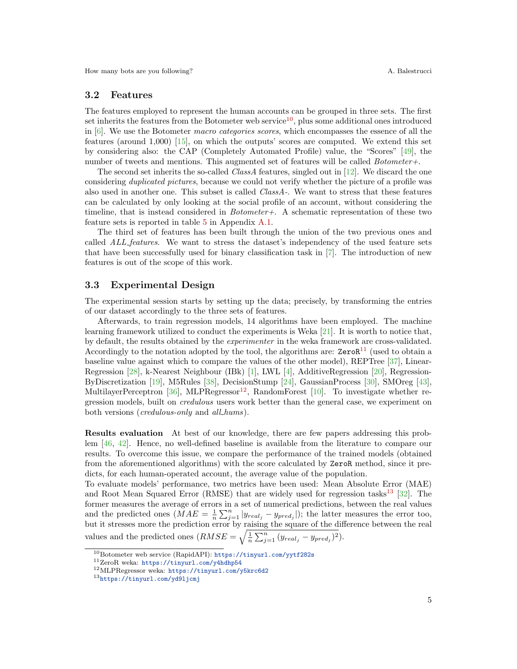### <span id="page-4-5"></span>3.2 Features

The features employed to represent the human accounts can be grouped in three sets. The first set inherits the features from the Botometer web service<sup>[10](#page-4-0)</sup>, plus some additional ones introduced in [\[6\]](#page-10-9). We use the Botometer macro categories scores, which encompasses the essence of all the features (around 1,000) [\[15\]](#page-10-8), on which the outputs' scores are computed. We extend this set by considering also: the CAP (Completely Automated Profile) value, the "Scores" [\[49\]](#page-12-5), the number of tweets and mentions. This augmented set of features will be called Botometer+.

The second set inherits the so-called ClassA features, singled out in [\[12\]](#page-10-7). We discard the one considering duplicated pictures, because we could not verify whether the picture of a profile was also used in another one. This subset is called ClassA-. We want to stress that these features can be calculated by only looking at the social profile of an account, without considering the timeline, that is instead considered in *Botometer+*. A schematic representation of these two feature sets is reported in table [5](#page-12-6) in Appendix [A.1.](#page-12-7)

The third set of features has been built through the union of the two previous ones and called ALL features. We want to stress the dataset's independency of the used feature sets that have been successfully used for binary classification task in [\[7\]](#page-10-6). The introduction of new features is out of the scope of this work.

### <span id="page-4-4"></span>3.3 Experimental Design

The experimental session starts by setting up the data; precisely, by transforming the entries of our dataset accordingly to the three sets of features.

Afterwards, to train regression models, 14 algorithms have been employed. The machine learning framework utilized to conduct the experiments is Weka [\[21\]](#page-10-12). It is worth to notice that, by default, the results obtained by the experimenter in the weka framework are cross-validated. Accordingly to the notation adopted by the tool, the algorithms are:  $\text{Zero}R^{11}$  $\text{Zero}R^{11}$  $\text{Zero}R^{11}$  (used to obtain a baseline value against which to compare the values of the other model), REPTree [\[37\]](#page-11-10), Linear-Regression [\[28\]](#page-11-11), k-Nearest Neighbour (IBk) [\[1\]](#page-9-1), LWL [\[4\]](#page-10-13), AdditiveRegression [\[20\]](#page-10-14), Regression-ByDiscretization [\[19\]](#page-10-15), M5Rules [\[38\]](#page-11-12), DecisionStump [\[24\]](#page-11-13), GaussianProcess [\[30\]](#page-11-14), SMOreg [\[43\]](#page-11-15), MultilayerPerceptron [\[36\]](#page-11-16), MLPRegressor<sup>[12](#page-4-2)</sup>, RandomForest [\[10\]](#page-10-16). To investigate whether regression models, built on credulous users work better than the general case, we experiment on both versions (*credulous-only* and *all\_hums*).

Results evaluation At best of our knowledge, there are few papers addressing this problem [\[46,](#page-12-3) [42\]](#page-11-7). Hence, no well-defined baseline is available from the literature to compare our results. To overcome this issue, we compare the performance of the trained models (obtained from the aforementioned algorithms) with the score calculated by ZeroR method, since it predicts, for each human-operated account, the average value of the population.

To evaluate models' performance, two metrics have been used: Mean Absolute Error (MAE) and Root Mean Squared Error (RMSE) that are widely used for regression tasks<sup>[13](#page-4-3)</sup> [\[32\]](#page-11-5). The former measures the average of errors in a set of numerical predictions, between the real values and the predicted ones  $(MAE = \frac{1}{n} \sum_{j=1}^{n} |y_{real_j} - y_{pred_j}|)$ ; the latter measures the error too, but it stresses more the prediction error by raising the square of the difference between the real values and the predicted ones  $(RMSE = \sqrt{\frac{1}{n} \sum_{j=1}^{n} (y_{real_j} - y_{pred_j})^2}).$ 

<span id="page-4-0"></span><sup>10</sup>Botometer web service (RapidAPI): <https://tinyurl.com/yytf282s>

<span id="page-4-1"></span><sup>11</sup>ZeroR weka: <https://tinyurl.com/y4hdhp54>

<span id="page-4-2"></span><sup>12</sup>MLPRegressor weka: <https://tinyurl.com/y5krc6d2>

<span id="page-4-3"></span><sup>13</sup><https://tinyurl.com/yd9ljcmj>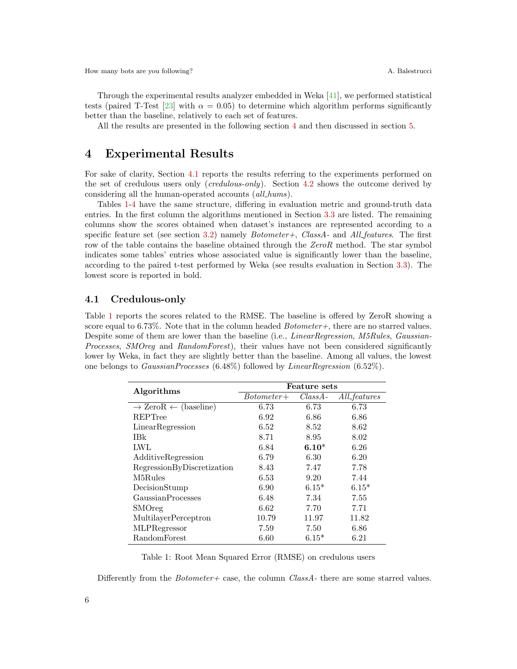Through the experimental results analyzer embedded in Weka [\[41\]](#page-11-17), we performed statistical tests (paired T-Test [\[23\]](#page-11-18) with  $\alpha = 0.05$ ) to determine which algorithm performs significantly better than the baseline, relatively to each set of features.

All the results are presented in the following section [4](#page-5-0) and then discussed in section [5.](#page-8-0)

### <span id="page-5-0"></span>4 Experimental Results

For sake of clarity, Section [4.1](#page-5-1) reports the results referring to the experiments performed on the set of credulous users only (credulous-only). Section [4.2](#page-6-0) shows the outcome derived by considering all the human-operated accounts (all\_hums).

Tables [1-](#page-5-2)[4](#page-7-0) have the same structure, differing in evaluation metric and ground-truth data entries. In the first column the algorithms mentioned in Section [3.3](#page-4-4) are listed. The remaining columns show the scores obtained when dataset's instances are represented according to a specific feature set (see section [3.2\)](#page-4-5) namely  $Bottometer+$ ,  $ClassA-$  and  $All_features$ . The first row of the table contains the baseline obtained through the ZeroR method. The star symbol indicates some tables' entries whose associated value is significantly lower than the baseline, according to the paired t-test performed by Weka (see results evaluation in Section [3.3\)](#page-4-4). The lowest score is reported in bold.

### <span id="page-5-1"></span>4.1 Credulous-only

Table [1](#page-5-2) reports the scores related to the RMSE. The baseline is offered by ZeroR showing a score equal to 6.73%. Note that in the column headed  $Bottometer+$ , there are no starred values. Despite some of them are lower than the baseline (i.e., *LinearRegression, M5Rules, Gaussian*-Processes, SMOreg and RandomForest), their values have not been considered significantly lower by Weka, in fact they are slightly better than the baseline. Among all values, the lowest one belongs to GaussianProcesses (6.48%) followed by LinearRegression (6.52%).

| Algorithms                                  | <b>Feature</b> sets |             |              |
|---------------------------------------------|---------------------|-------------|--------------|
|                                             | $Bottometer+$       | $Class A -$ | All_features |
| $\rightarrow$ ZeroR $\leftarrow$ (baseline) | 6.73                | 6.73        | 6.73         |
| REPTree                                     | 6.92                | 6.86        | 6.86         |
| LinearRegression                            | 6.52                | 8.52        | 8.62         |
| IBk                                         | 8.71                | 8.95        | 8.02         |
| LWL                                         | 6.84                | $6.10*$     | 6.26         |
| AdditiveRegression                          | 6.79                | 6.30        | 6.20         |
| RegressionByDiscretization                  | 8.43                | 7.47        | 7.78         |
| M5Rules                                     | 6.53                | 9.20        | 7.44         |
| DecisionStump                               | 6.90                | $6.15*$     | $6.15*$      |
| GaussianProcesses                           | 6.48                | 7.34        | 7.55         |
| <b>SMOreg</b>                               | 6.62                | 7.70        | 7.71         |
| MultilayerPerceptron                        | 10.79               | 11.97       | 11.82        |
| <b>MLPRegressor</b>                         | 7.59                | 7.50        | 6.86         |
| RandomForest                                | 6.60                | $6.15*$     | 6.21         |

<span id="page-5-2"></span>Table 1: Root Mean Squared Error (RMSE) on credulous users

Differently from the  $Bottometer+$  case, the column  $Class A$ - there are some starred values.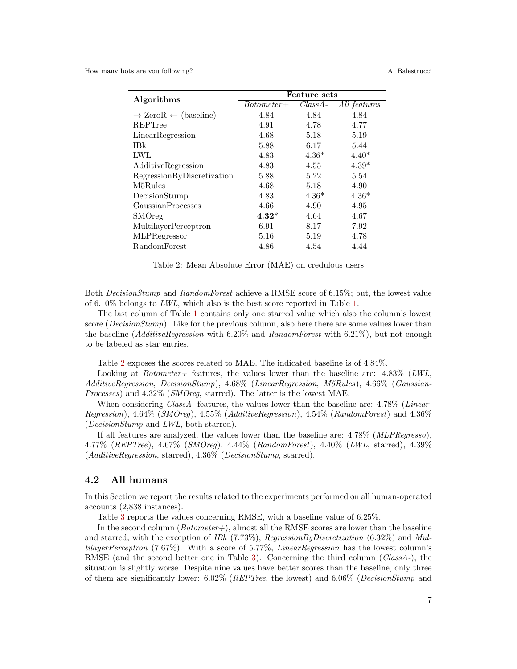<span id="page-6-1"></span>

| Algorithms                                  | <b>Feature</b> sets |             |              |
|---------------------------------------------|---------------------|-------------|--------------|
|                                             | $Bottometer+$       | $Class A -$ | All_features |
| $\rightarrow$ ZeroR $\leftarrow$ (baseline) | 4.84                | 4.84        | 4.84         |
| REPTree                                     | 4.91                | 4.78        | 4.77         |
| LinearRegression                            | 4.68                | 5.18        | 5.19         |
| <b>IBk</b>                                  | 5.88                | 6.17        | 5.44         |
| LWL                                         | 4.83                | $4.36*$     | $4.40*$      |
| AdditiveRegression                          | 4.83                | 4.55        | $4.39*$      |
| RegressionByDiscretization                  | 5.88                | 5.22        | 5.54         |
| M5Rules                                     | 4.68                | 5.18        | 4.90         |
| DecisionStump                               | 4.83                | $4.36*$     | $4.36*$      |
| GaussianProcesses                           | 4.66                | 4.90        | 4.95         |
| SMOreg                                      | $4.32*$             | 4.64        | 4.67         |
| MultilayerPerceptron                        | 6.91                | 8.17        | 7.92         |
| MLPRegressor                                | 5.16                | 5.19        | 4.78         |
| RandomForest                                | 4.86                | 4.54        | 4.44         |

Table 2: Mean Absolute Error (MAE) on credulous users

Both DecisionStump and RandomForest achieve a RMSE score of 6.15%; but, the lowest value of 6.10% belongs to LWL, which also is the best score reported in Table [1.](#page-5-2)

The last column of Table [1](#page-5-2) contains only one starred value which also the column's lowest score (*DecisionStump*). Like for the previous column, also here there are some values lower than the baseline  $(AdditiveRegression$  with  $6.20\%$  and  $RandomForest$  with  $6.21\%$ , but not enough to be labeled as star entries.

Table [2](#page-6-1) exposes the scores related to MAE. The indicated baseline is of 4.84%.

Looking at Botometer+ features, the values lower than the baseline are:  $4.83\%$  (LWL, AdditiveRegression, DecisionStump), 4.68% (LinearRegression, M5Rules), 4.66% (Gaussian-Processes) and 4.32% (SMOreg, starred). The latter is the lowest MAE.

When considering ClassA- features, the values lower than the baseline are: 4.78% (Linear-Regression), 4.64% (SMOreg), 4.55% (AdditiveRegression), 4.54% (RandomForest) and 4.36% (DecisionStump and LWL, both starred).

If all features are analyzed, the values lower than the baseline are: 4.78% (MLPRegresso), 4.77% (REPTree), 4.67% (SMOreg), 4.44% (RandomForest), 4.40% (LWL, starred), 4.39% (AdditiveRegression, starred), 4.36% (DecisionStump, starred).

### <span id="page-6-0"></span>4.2 All humans

In this Section we report the results related to the experiments performed on all human-operated accounts (2,838 instances).

Table [3](#page-7-1) reports the values concerning RMSE, with a baseline value of 6.25%.

In the second column ( $Bottometer+$ ), almost all the RMSE scores are lower than the baseline and starred, with the exception of IBk  $(7.73\%)$ , RegressionByDiscretization  $(6.32\%)$  and MultilayerPerceptron (7.67%). With a score of 5.77%, LinearRegression has the lowest column's RMSE (and the second better one in Table [3\)](#page-7-1). Concerning the third column (ClassA-), the situation is slightly worse. Despite nine values have better scores than the baseline, only three of them are significantly lower: 6.02% (REPTree, the lowest) and 6.06% (DecisionStump and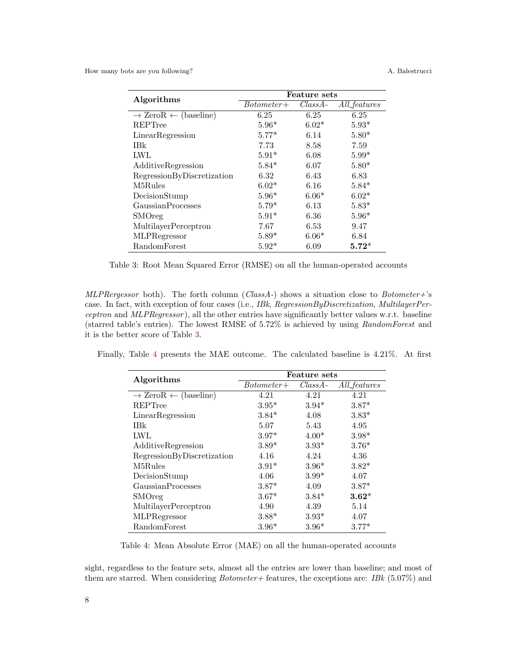<span id="page-7-1"></span>

| Algorithms                                  |               | <b>Feature</b> sets |              |
|---------------------------------------------|---------------|---------------------|--------------|
|                                             | $Bottometer+$ | $Class A -$         | All_features |
| $\rightarrow$ ZeroR $\leftarrow$ (baseline) | 6.25          | 6.25                | 6.25         |
| REPTree                                     | $5.96*$       | $6.02*$             | $5.93*$      |
| LinearRegression                            | $5.77*$       | 6.14                | $5.80*$      |
| <b>IBk</b>                                  | 7.73          | 8.58                | 7.59         |
| LWL                                         | $5.91*$       | 6.08                | $5.99*$      |
| AdditiveRegression                          | $5.84*$       | 6.07                | $5.80*$      |
| RegressionByDiscretization                  | 6.32          | 6.43                | 6.83         |
| M <sub>5</sub> Rules                        | $6.02*$       | 6.16                | $5.84*$      |
| DecisionStump                               | $5.96*$       | $6.06*$             | $6.02*$      |
| GaussianProcesses                           | $5.79*$       | 6.13                | $5.83*$      |
| SMOreg                                      | $5.91*$       | 6.36                | $5.96*$      |
| MultilayerPerceptron                        | 7.67          | 6.53                | 9.47         |
| MLPRegressor                                | $5.89*$       | $6.06*$             | 6.84         |
| RandomForest                                | $5.92*$       | 6.09                | $5.72*$      |

Table 3: Root Mean Squared Error (RMSE) on all the human-operated accounts

 $MLP$ Rergessor both). The forth column (ClassA-) shows a situation close to Botometer+'s case. In fact, with exception of four cases (i.e., IBk, RegressionByDiscretization, MultilayerPerceptron and MLPRegressor ), all the other entries have significantly better values w.r.t. baseline (starred table's entries). The lowest RMSE of 5.72% is achieved by using RandomForest and it is the better score of Table [3.](#page-7-1)

<span id="page-7-0"></span>

|                                             | <b>Feature</b> sets |             |              |
|---------------------------------------------|---------------------|-------------|--------------|
| Algorithms                                  | $Bottometer+$       | $Class A -$ | All_features |
| $\rightarrow$ ZeroR $\leftarrow$ (baseline) | 4.21                | 4.21        | 4.21         |
| REPTree                                     | $3.95*$             | $3.94*$     | $3.87*$      |
| LinearRegression                            | $3.84*$             | 4.08        | $3.83*$      |
| IBk                                         | 5.07                | 5.43        | 4.95         |
| LWL                                         | $3.97*$             | $4.00*$     | $3.98*$      |
| AdditiveRegression                          | $3.89*$             | $3.93*$     | $3.76*$      |
| RegressionByDiscretization                  | 4.16                | 4.24        | 4.36         |
| M5Rules                                     | $3.91*$             | $3.96*$     | $3.82*$      |
| DecisionStump                               | 4.06                | $3.99*$     | 4.07         |
| GaussianProcesses                           | $3.87*$             | 4.09        | $3.87*$      |
| <b>SMOreg</b>                               | $3.67*$             | $3.84*$     | $3.62*$      |
| MultilayerPerceptron                        | 4.90                | 4.39        | 5.14         |
| MLPRegressor                                | $3.88*$             | $3.93*$     | 4.07         |
| RandomForest                                | $3.96*$             | $3.96*$     | $3.77*$      |

Finally, Table [4](#page-7-0) presents the MAE outcome. The calculated baseline is 4.21%. At first

Table 4: Mean Absolute Error (MAE) on all the human-operated accounts

sight, regardless to the feature sets, almost all the entries are lower than baseline; and most of them are starred. When considering  $Bottometer+$  features, the exceptions are: IBk (5.07%) and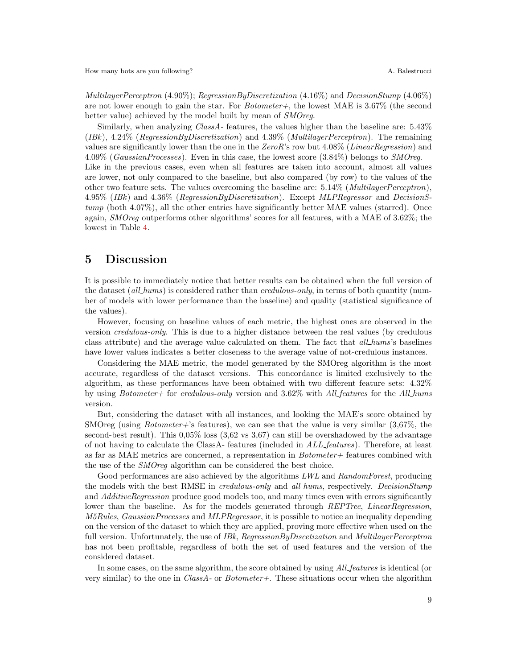MultilayerPerceptron (4.90%); RegressionByDiscretization (4.16%) and DecisionStump (4.06%) are not lower enough to gain the star. For *Botometer+*, the lowest MAE is 3.67% (the second better value) achieved by the model built by mean of SMOreg.

Similarly, when analyzing ClassA- features, the values higher than the baseline are: 5.43%  $(IBk)$ , 4.24% (RegressionByDiscretization) and 4.39% (MultilayerPerceptron). The remaining values are significantly lower than the one in the ZeroR's row but  $4.08\%$  (LinearRegression) and 4.09% (GaussianProcesses). Even in this case, the lowest score (3.84%) belongs to SMOreg. Like in the previous cases, even when all features are taken into account, almost all values are lower, not only compared to the baseline, but also compared (by row) to the values of the other two feature sets. The values overcoming the baseline are:  $5.14\%$  (*MultilayerPerceptron*), 4.95% (IBk) and 4.36% (RegressionByDiscretization). Except MLPRegressor and DecisionStump (both 4.07%), all the other entries have significantly better MAE values (starred). Once again, SMOreg outperforms other algorithms' scores for all features, with a MAE of 3.62%; the lowest in Table [4.](#page-7-0)

# <span id="page-8-0"></span>5 Discussion

It is possible to immediately notice that better results can be obtained when the full version of the dataset (all\_hums) is considered rather than *credulous-only*, in terms of both quantity (number of models with lower performance than the baseline) and quality (statistical significance of the values).

However, focusing on baseline values of each metric, the highest ones are observed in the version credulous-only. This is due to a higher distance between the real values (by credulous class attribute) and the average value calculated on them. The fact that *all hums's* baselines have lower values indicates a better closeness to the average value of not-credulous instances.

Considering the MAE metric, the model generated by the SMOreg algorithm is the most accurate, regardless of the dataset versions. This concordance is limited exclusively to the algorithm, as these performances have been obtained with two different feature sets: 4.32% by using Botometer+ for credulous-only version and 3.62% with All features for the All hums version.

But, considering the dataset with all instances, and looking the MAE's score obtained by SMOreg (using *Botometer+'s* features), we can see that the value is very similar  $(3.67\%$ , the second-best result). This 0,05% loss (3,62 vs 3,67) can still be overshadowed by the advantage of not having to calculate the ClassA- features (included in ALL features). Therefore, at least as far as MAE metrics are concerned, a representation in Botometer+ features combined with the use of the SMOreg algorithm can be considered the best choice.

Good performances are also achieved by the algorithms *LWL* and *RandomForest*, producing the models with the best RMSE in *credulous-only* and *all hums*, respectively. *DecisionStump* and *AdditiveRegression* produce good models too, and many times even with errors significantly lower than the baseline. As for the models generated through REPTree, LinearRegression, M5Rules, GaussianProcesses and MLPRegressor, it is possible to notice an inequality depending on the version of the dataset to which they are applied, proving more effective when used on the full version. Unfortunately, the use of IBk, RegressionByDiscetization and MultilayerPerceptron has not been profitable, regardless of both the set of used features and the version of the considered dataset.

In some cases, on the same algorithm, the score obtained by using *All features* is identical (or very similar) to the one in  $Class A$ - or  $Bottometer +$ . These situations occur when the algorithm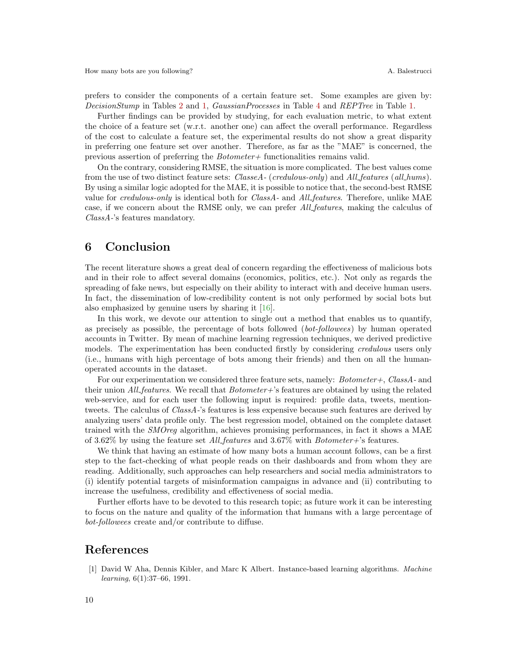prefers to consider the components of a certain feature set. Some examples are given by: DecisionStump in Tables [2](#page-6-1) and [1,](#page-5-2) GaussianProcesses in Table [4](#page-7-0) and REPTree in Table [1.](#page-5-2)

Further findings can be provided by studying, for each evaluation metric, to what extent the choice of a feature set (w.r.t. another one) can affect the overall performance. Regardless of the cost to calculate a feature set, the experimental results do not show a great disparity in preferring one feature set over another. Therefore, as far as the "MAE" is concerned, the previous assertion of preferring the Botometer+ functionalities remains valid.

On the contrary, considering RMSE, the situation is more complicated. The best values come from the use of two distinct feature sets: *ClasseA-* (*credulous-only*) and *All\_features* (*all\_hums*). By using a similar logic adopted for the MAE, it is possible to notice that, the second-best RMSE value for credulous-only is identical both for ClassA- and All features. Therefore, unlike MAE case, if we concern about the RMSE only, we can prefer All features, making the calculus of ClassA-'s features mandatory.

# <span id="page-9-0"></span>6 Conclusion

The recent literature shows a great deal of concern regarding the effectiveness of malicious bots and in their role to affect several domains (economics, politics, etc.). Not only as regards the spreading of fake news, but especially on their ability to interact with and deceive human users. In fact, the dissemination of low-credibility content is not only performed by social bots but also emphasized by genuine users by sharing it [\[16\]](#page-10-5).

In this work, we devote our attention to single out a method that enables us to quantify, as precisely as possible, the percentage of bots followed (bot-followees) by human operated accounts in Twitter. By mean of machine learning regression techniques, we derived predictive models. The experimentation has been conducted firstly by considering credulous users only (i.e., humans with high percentage of bots among their friends) and then on all the humanoperated accounts in the dataset.

For our experimentation we considered three feature sets, namely: Botometer+, ClassA- and their union *All features*. We recall that *Botometer+*'s features are obtained by using the related web-service, and for each user the following input is required: profile data, tweets, mentiontweets. The calculus of ClassA-'s features is less expensive because such features are derived by analyzing users' data profile only. The best regression model, obtained on the complete dataset trained with the SMOreg algorithm, achieves promising performances, in fact it shows a MAE of 3.62% by using the feature set All features and 3.67% with Botometer+'s features.

We think that having an estimate of how many bots a human account follows, can be a first step to the fact-checking of what people reads on their dashboards and from whom they are reading. Additionally, such approaches can help researchers and social media administrators to (i) identify potential targets of misinformation campaigns in advance and (ii) contributing to increase the usefulness, credibility and effectiveness of social media.

Further efforts have to be devoted to this research topic; as future work it can be interesting to focus on the nature and quality of the information that humans with a large percentage of bot-followees create and/or contribute to diffuse.

### References

<span id="page-9-1"></span>[1] David W Aha, Dennis Kibler, and Marc K Albert. Instance-based learning algorithms. Machine learning, 6(1):37–66, 1991.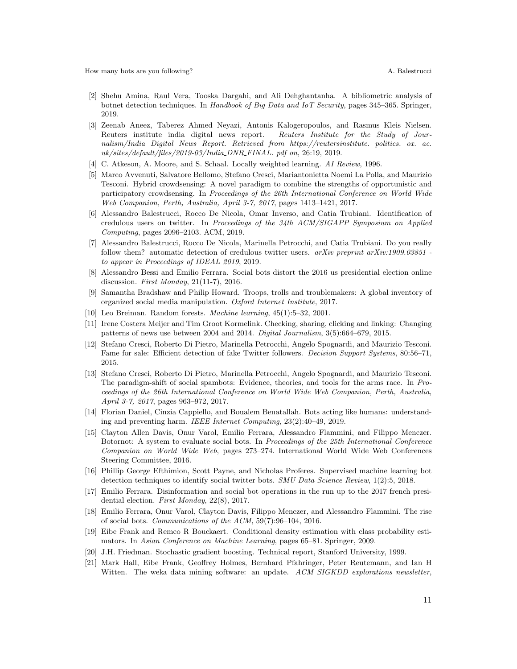- <span id="page-10-0"></span>[2] Shehu Amina, Raul Vera, Tooska Dargahi, and Ali Dehghantanha. A bibliometric analysis of botnet detection techniques. In Handbook of Big Data and IoT Security, pages 345–365. Springer, 2019.
- [3] Zeenab Aneez, Taberez Ahmed Neyazi, Antonis Kalogeropoulos, and Rasmus Kleis Nielsen. Reuters institute india digital news report. Reuters Institute for the Study of Journalism/India Digital News Report. Retrieved from https://reutersinstitute. politics. ox. ac. uk/sites/default/files/2019-03/India DNR FINAL. pdf on, 26:19, 2019.
- <span id="page-10-13"></span>[4] C. Atkeson, A. Moore, and S. Schaal. Locally weighted learning. AI Review, 1996.
- <span id="page-10-11"></span>[5] Marco Avvenuti, Salvatore Bellomo, Stefano Cresci, Mariantonietta Noemi La Polla, and Maurizio Tesconi. Hybrid crowdsensing: A novel paradigm to combine the strengths of opportunistic and participatory crowdsensing. In Proceedings of the 26th International Conference on World Wide Web Companion, Perth, Australia, April 3-7, 2017, pages 1413–1421, 2017.
- <span id="page-10-9"></span>[6] Alessandro Balestrucci, Rocco De Nicola, Omar Inverso, and Catia Trubiani. Identification of credulous users on twitter. In Proceedings of the 34th ACM/SIGAPP Symposium on Applied Computing, pages 2096–2103. ACM, 2019.
- <span id="page-10-6"></span>[7] Alessandro Balestrucci, Rocco De Nicola, Marinella Petrocchi, and Catia Trubiani. Do you really follow them? automatic detection of credulous twitter users.  $arXiv$  preprint  $arXiv:1909.03851$ . to appear in Proceedings of IDEAL 2019, 2019.
- <span id="page-10-2"></span>[8] Alessandro Bessi and Emilio Ferrara. Social bots distort the 2016 us presidential election online discussion. First Monday, 21(11-7), 2016.
- <span id="page-10-4"></span>[9] Samantha Bradshaw and Philip Howard. Troops, trolls and troublemakers: A global inventory of organized social media manipulation. Oxford Internet Institute, 2017.
- <span id="page-10-16"></span>[10] Leo Breiman. Random forests. Machine learning, 45(1):5–32, 2001.
- [11] Irene Costera Meijer and Tim Groot Kormelink. Checking, sharing, clicking and linking: Changing patterns of news use between 2004 and 2014. Digital Journalism, 3(5):664–679, 2015.
- <span id="page-10-7"></span>[12] Stefano Cresci, Roberto Di Pietro, Marinella Petrocchi, Angelo Spognardi, and Maurizio Tesconi. Fame for sale: Efficient detection of fake Twitter followers. *Decision Support Systems*, 80:56–71, 2015.
- <span id="page-10-10"></span>[13] Stefano Cresci, Roberto Di Pietro, Marinella Petrocchi, Angelo Spognardi, and Maurizio Tesconi. The paradigm-shift of social spambots: Evidence, theories, and tools for the arms race. In Proceedings of the 26th International Conference on World Wide Web Companion, Perth, Australia, April 3-7, 2017, pages 963–972, 2017.
- <span id="page-10-1"></span>[14] Florian Daniel, Cinzia Cappiello, and Boualem Benatallah. Bots acting like humans: understanding and preventing harm. IEEE Internet Computing, 23(2):40–49, 2019.
- <span id="page-10-8"></span>[15] Clayton Allen Davis, Onur Varol, Emilio Ferrara, Alessandro Flammini, and Filippo Menczer. Botornot: A system to evaluate social bots. In Proceedings of the 25th International Conference Companion on World Wide Web, pages 273–274. International World Wide Web Conferences Steering Committee, 2016.
- <span id="page-10-5"></span>[16] Phillip George Efthimion, Scott Payne, and Nicholas Proferes. Supervised machine learning bot detection techniques to identify social twitter bots. *SMU Data Science Review*, 1(2):5, 2018.
- <span id="page-10-3"></span>[17] Emilio Ferrara. Disinformation and social bot operations in the run up to the 2017 french presidential election. First Monday, 22(8), 2017.
- [18] Emilio Ferrara, Onur Varol, Clayton Davis, Filippo Menczer, and Alessandro Flammini. The rise of social bots. Communications of the ACM, 59(7):96–104, 2016.
- <span id="page-10-15"></span>[19] Eibe Frank and Remco R Bouckaert. Conditional density estimation with class probability estimators. In Asian Conference on Machine Learning, pages 65–81. Springer, 2009.
- <span id="page-10-14"></span>[20] J.H. Friedman. Stochastic gradient boosting. Technical report, Stanford University, 1999.
- <span id="page-10-12"></span>[21] Mark Hall, Eibe Frank, Geoffrey Holmes, Bernhard Pfahringer, Peter Reutemann, and Ian H Witten. The weka data mining software: an update. ACM SIGKDD explorations newsletter,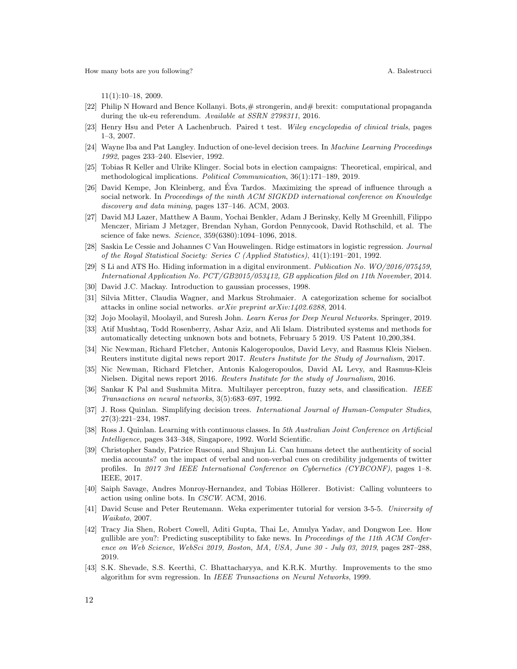11(1):10–18, 2009.

- <span id="page-11-3"></span>[22] Philip N Howard and Bence Kollanyi. Bots,# strongerin, and# brexit: computational propaganda during the uk-eu referendum. Available at SSRN 2798311, 2016.
- <span id="page-11-18"></span>[23] Henry Hsu and Peter A Lachenbruch. Paired t test. Wiley encyclopedia of clinical trials, pages 1–3, 2007.
- <span id="page-11-13"></span>[24] Wayne Iba and Pat Langley. Induction of one-level decision trees. In Machine Learning Proceedings 1992, pages 233–240. Elsevier, 1992.
- <span id="page-11-2"></span>[25] Tobias R Keller and Ulrike Klinger. Social bots in election campaigns: Theoretical, empirical, and methodological implications. Political Communication, 36(1):171–189, 2019.
- <span id="page-11-4"></span>[26] David Kempe, Jon Kleinberg, and Eva Tardos. Maximizing the spread of influence through a ´ social network. In Proceedings of the ninth ACM SIGKDD international conference on Knowledge discovery and data mining, pages 137–146. ACM, 2003.
- [27] David MJ Lazer, Matthew A Baum, Yochai Benkler, Adam J Berinsky, Kelly M Greenhill, Filippo Menczer, Miriam J Metzger, Brendan Nyhan, Gordon Pennycook, David Rothschild, et al. The science of fake news. Science, 359(6380):1094-1096, 2018.
- <span id="page-11-11"></span>[28] Saskia Le Cessie and Johannes C Van Houwelingen. Ridge estimators in logistic regression. Journal of the Royal Statistical Society: Series C (Applied Statistics), 41(1):191–201, 1992.
- <span id="page-11-9"></span>[29] S Li and ATS Ho. Hiding information in a digital environment. Publication No. WO/2016/075459, International Application No. PCT/GB2015/053412, GB application filed on 11th November, 2014.
- <span id="page-11-14"></span>[30] David J.C. Mackay. Introduction to gaussian processes, 1998.
- <span id="page-11-6"></span>[31] Silvia Mitter, Claudia Wagner, and Markus Strohmaier. A categorization scheme for socialbot attacks in online social networks. arXiv preprint arXiv:1402.6288, 2014.
- <span id="page-11-5"></span>[32] Jojo Moolayil, Moolayil, and Suresh John. Learn Keras for Deep Neural Networks. Springer, 2019.
- <span id="page-11-0"></span>[33] Atif Mushtaq, Todd Rosenberry, Ashar Aziz, and Ali Islam. Distributed systems and methods for automatically detecting unknown bots and botnets, February 5 2019. US Patent 10,200,384.
- [34] Nic Newman, Richard Fletcher, Antonis Kalogeropoulos, David Levy, and Rasmus Kleis Nielsen. Reuters institute digital news report 2017. Reuters Institute for the Study of Journalism, 2017.
- [35] Nic Newman, Richard Fletcher, Antonis Kalogeropoulos, David AL Levy, and Rasmus-Kleis Nielsen. Digital news report 2016. Reuters Institute for the study of Journalism, 2016.
- <span id="page-11-16"></span>[36] Sankar K Pal and Sushmita Mitra. Multilayer perceptron, fuzzy sets, and classification. IEEE Transactions on neural networks, 3(5):683–697, 1992.
- <span id="page-11-10"></span>[37] J. Ross Quinlan. Simplifying decision trees. International Journal of Human-Computer Studies, 27(3):221–234, 1987.
- <span id="page-11-12"></span>[38] Ross J. Quinlan. Learning with continuous classes. In 5th Australian Joint Conference on Artificial Intelligence, pages 343–348, Singapore, 1992. World Scientific.
- <span id="page-11-8"></span>[39] Christopher Sandy, Patrice Rusconi, and Shujun Li. Can humans detect the authenticity of social media accounts? on the impact of verbal and non-verbal cues on credibility judgements of twitter profiles. In 2017 3rd IEEE International Conference on Cybernetics (CYBCONF), pages 1-8. IEEE, 2017.
- <span id="page-11-1"></span>[40] Saiph Savage, Andres Monroy-Hernandez, and Tobias Höllerer. Botivist: Calling volunteers to action using online bots. In CSCW. ACM, 2016.
- <span id="page-11-17"></span>[41] David Scuse and Peter Reutemann. Weka experimenter tutorial for version 3-5-5. University of Waikato, 2007.
- <span id="page-11-7"></span>[42] Tracy Jia Shen, Robert Cowell, Aditi Gupta, Thai Le, Amulya Yadav, and Dongwon Lee. How gullible are you?: Predicting susceptibility to fake news. In *Proceedings of the 11th ACM Confer*ence on Web Science, WebSci 2019, Boston, MA, USA, June 30 - July 03, 2019, pages 287–288, 2019.
- <span id="page-11-15"></span>[43] S.K. Shevade, S.S. Keerthi, C. Bhattacharyya, and K.R.K. Murthy. Improvements to the smo algorithm for svm regression. In IEEE Transactions on Neural Networks, 1999.